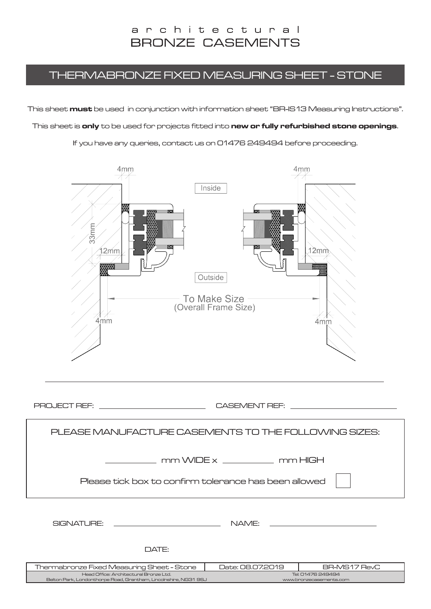#### THERMABRONZE FIXED MEASURING SHEET - STONE

This sheet **must** be used in conjunction with information sheet "BR-IS13 Measuring Instructions".

This sheet is **only** to be used for projects fitted into **new or fully refurbished stone openings**.

If you have any queries, contact us on 01476 249494 before proceeding.

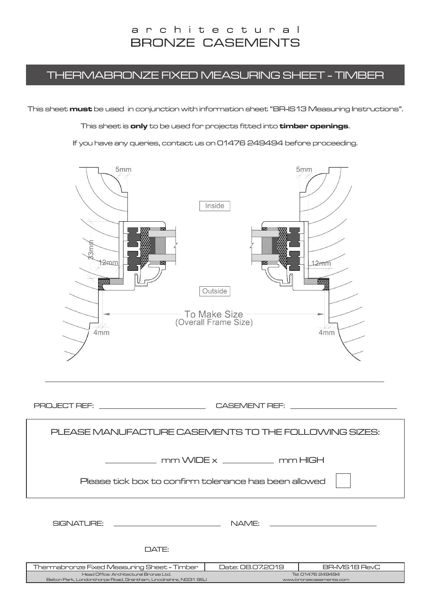#### THERMABRONZE FIXED MEASURING SHEET - TIMBER

This sheet **must** be used in conjunction with information sheet "BR-IS13 Measuring Instructions".

This sheet is **only** to be used for projects fitted into **timber openings**.

If you have any queries, contact us on 01476 249494 before proceeding.



PROJECT REF: CASEMENT REF:

| PLEASE MANUFACTURE CASEMENTS TO THE FOLLOWING SIZES:                                                       |                                              |              |  |  |
|------------------------------------------------------------------------------------------------------------|----------------------------------------------|--------------|--|--|
| $mm$ WIDE $x$ $mm$ $mm$ HIGH<br>Please tick box to confirm tolerance has been allowed                      |                                              |              |  |  |
|                                                                                                            |                                              |              |  |  |
| SIGNATURE:<br>NAME:                                                                                        |                                              |              |  |  |
| DATE:                                                                                                      |                                              |              |  |  |
|                                                                                                            | Date: 08.07.2019                             | BR-MS18 RevC |  |  |
| Thermabronze Fixed Measuring Sheet - Timber                                                                |                                              |              |  |  |
| Head Office: Architectural Bronze Ltd.<br>Belton Park, Londonthorpe Road, Grantham, Lincolnshire, NG31 9SJ | Tel: 01476 249494<br>www.bronzecasements.com |              |  |  |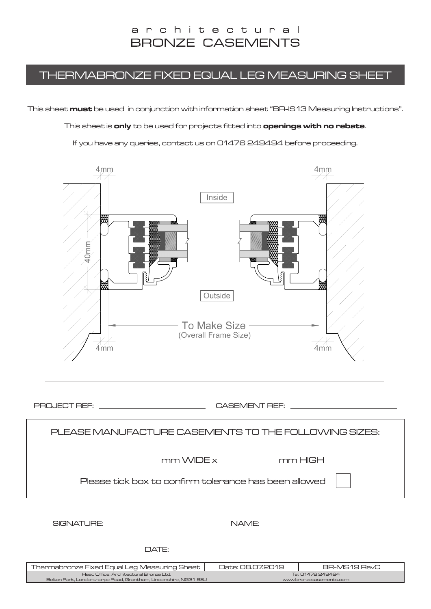#### THERMABRONZE FIXED EQUAL LEG MEASURING SHEET

This sheet **must** be used in conjunction with information sheet "BR-IS13 Measuring Instructions".

This sheet is **only** to be used for projects fitted into **openings with no rebate**.

If you have any queries, contact us on 01476 249494 before proceeding.



| Thermabronze Fixed Equal Leg Measuring Sheet I                       | Date: 08.07.2019        | BR-MS19 RevC |
|----------------------------------------------------------------------|-------------------------|--------------|
| Head Office: Architectural Bronze Ltd.                               | Tel: 01476 249494       |              |
| . Belton Park, Londonthorpe Road, Grantham, Lincolnshire, NG31 9SJ . | www.bronzecasements.com |              |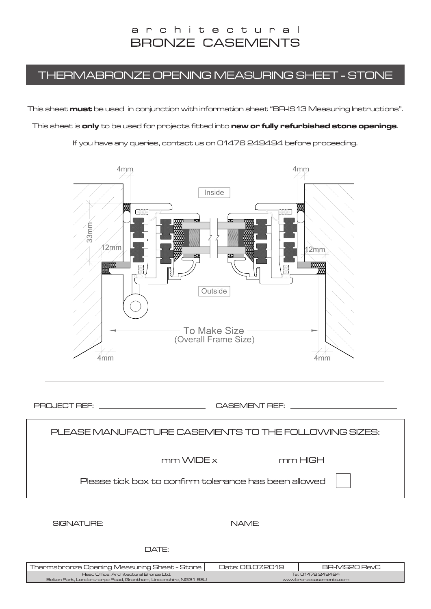### THERMABRONZE OPENING MEASURING SHEET - STONE

This sheet **must** be used in conjunction with information sheet "BR-IS13 Measuring Instructions".

This sheet is **only** to be used for projects fitted into **new or fully refurbished stone openings**.

If you have any queries, contact us on 01476 249494 before proceeding.



| Thermabronze Opening Measuring Sheet - Stone                       | Date: 08.07.2019        | BR-MS20 RevC      |  |
|--------------------------------------------------------------------|-------------------------|-------------------|--|
| Head Office: Architectural Bronze Ltd.                             |                         | Tel: 01476 249494 |  |
| . Belton Park, Londonthorpe Road, Grantham, Lincolnshire, NG31 9SJ | www.bronzecasements.com |                   |  |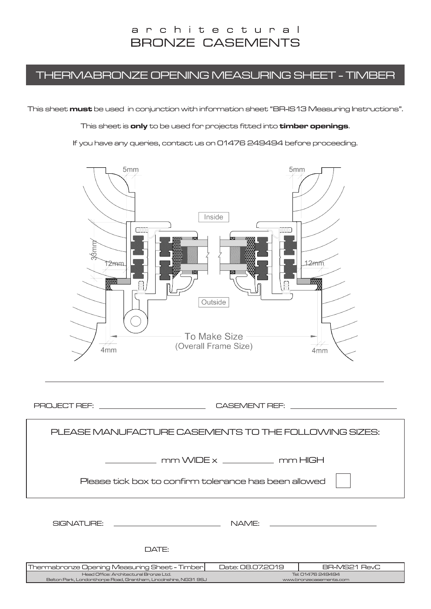### THERMABRONZE OPENING MEASURING SHEET - TIMBER

This sheet **must** be used in conjunction with information sheet "BR-IS13 Measuring Instructions".

This sheet is **only** to be used for projects fitted into **timber openings**.

If you have any queries, contact us on 01476 249494 before proceeding.



PROJECT REF: CASEMENT REF:

www.bronzecasements.c

Head Office: Architectural Bronze Ltd. Belton Park, Londonthorpe Road, Grantham, Lincolnshire, NG31 9SJ Tel: 01476 249494 Thermabronze Opening Measuring Sheet - Timber | Date: 08.07.2019 | BR-MS21 RevC PLEASE MANUFACTURE CASEMENTS TO THE FOLLOWING SIZES: SIGNATURE: NAME: DATE:  $\frac{1}{\sqrt{1-\frac{1}{2}}}\frac{1}{\sqrt{1-\frac{1}{2}}}\frac{1}{\sqrt{1-\frac{1}{2}}}\frac{1}{\sqrt{1-\frac{1}{2}}}\frac{1}{\sqrt{1-\frac{1}{2}}}\frac{1}{\sqrt{1-\frac{1}{2}}}\frac{1}{\sqrt{1-\frac{1}{2}}}\frac{1}{\sqrt{1-\frac{1}{2}}}\frac{1}{\sqrt{1-\frac{1}{2}}}\frac{1}{\sqrt{1-\frac{1}{2}}}\frac{1}{\sqrt{1-\frac{1}{2}}}\frac{1}{\sqrt{1-\frac{1}{2}}}\frac{1}{\sqrt{1-\frac{1}{2}}}\frac{1}{\sqrt{1-\frac{$ Please tick box to confirm tolerance has been allowed